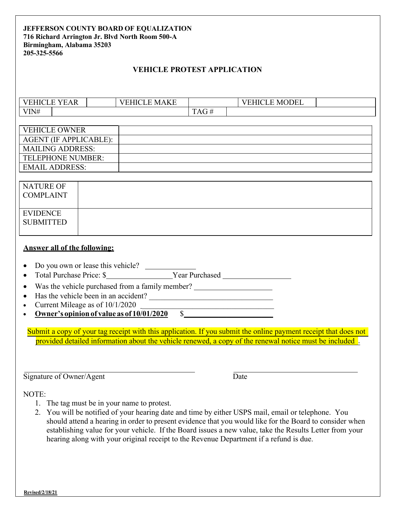### **JEFFERSON COUNTY BOARD OF EQUALIZATION 716 Richard Arrington Jr. Blvd North Room 500-A Birmingham, Alabama 35203 205-325-5566**

## **VEHICLE PROTEST APPLICATION**

| 7F<br>$\overline{\phantom{a}}$<br>1 I C<br>$\cdot$<br>н<br>$V$ H<br>AK |  | <b>MAKE</b><br>:HI(<br>н<br>н. |           |  | <b>ODEL</b><br>┳<br>$\mathbf{H}$<br>N/H |  |
|------------------------------------------------------------------------|--|--------------------------------|-----------|--|-----------------------------------------|--|
| VIN#                                                                   |  |                                | AC<br>- - |  |                                         |  |

| <b>VEHICLE OWNER</b>     |  |
|--------------------------|--|
| AGENT (IF APPLICABLE):   |  |
| <b>MAILING ADDRESS:</b>  |  |
| <b>TELEPHONE NUMBER:</b> |  |
| <b>EMAIL ADDRESS:</b>    |  |
|                          |  |

| <b>NATURE OF</b><br><b>COMPLAINT</b> |  |
|--------------------------------------|--|
| <b>EVIDENCE</b><br><b>SUBMITTED</b>  |  |

#### **Answer all of the following:**

- Total Purchase Price: \$ Year Purchased
- Was the vehicle purchased from a family member? \_\_\_\_\_\_\_\_\_\_\_\_\_\_\_\_\_\_\_\_\_\_\_\_\_\_\_\_\_\_
- Has the vehicle been in an accident? \_\_\_\_\_\_\_\_\_\_\_\_\_\_\_\_\_\_\_\_\_\_\_\_\_\_\_\_\_\_\_\_
- 
- Current Mileage as of  $10/1/2020$ <br>
Owner's opinion of value as of  $10/01/2020$  \$ Owner's opinion of value as of 10/01/2020

provided detailed information about the vehicle renewed, a copy of the renewal notice must be included. Submit a copy of your tag receipt with this application. If you submit the online payment receipt that does not

Signature of Owner/Agent Date

NOTE:

- 1. The tag must be in your name to protest.
- 2. You will be notified of your hearing date and time by either USPS mail, email or telephone. You should attend a hearing in order to present evidence that you would like for the Board to consider when establishing value for your vehicle. If the Board issues a new value, take the Results Letter from your hearing along with your original receipt to the Revenue Department if a refund is due.